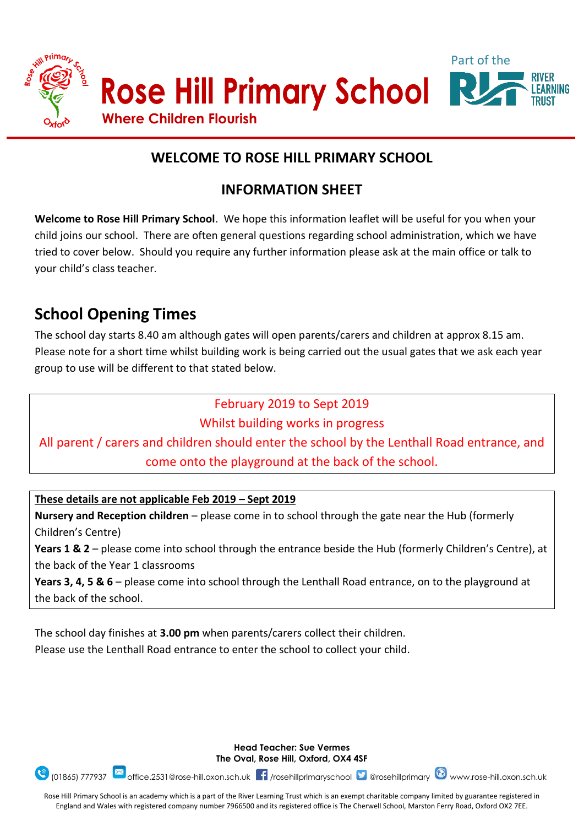

# **WELCOME TO ROSE HILL PRIMARY SCHOOL**

# **INFORMATION SHEET**

**Welcome to Rose Hill Primary School**. We hope this information leaflet will be useful for you when your child joins our school. There are often general questions regarding school administration, which we have tried to cover below. Should you require any further information please ask at the main office or talk to your child's class teacher.

# **School Opening Times**

The school day starts 8.40 am although gates will open parents/carers and children at approx 8.15 am. Please note for a short time whilst building work is being carried out the usual gates that we ask each year group to use will be different to that stated below.

# February 2019 to Sept 2019

Whilst building works in progress

All parent / carers and children should enter the school by the Lenthall Road entrance, and come onto the playground at the back of the school.

**These details are not applicable Feb 2019 – Sept 2019**

**Nursery and Reception children** – please come in to school through the gate near the Hub (formerly Children's Centre)

**Years 1 & 2** – please come into school through the entrance beside the Hub (formerly Children's Centre), at the back of the Year 1 classrooms

**Years 3, 4, 5 & 6** – please come into school through the Lenthall Road entrance, on to the playground at the back of the school.

The school day finishes at **3.00 pm** when parents/carers collect their children.

Please use the Lenthall Road entrance to enter the school to collect your child.



**Head Teacher: Sue Vermes The Oval, Rose Hill, Oxford, OX4 4SF**

Rose Hill Primary School is an academy which is a part of the River Learning Trust which is an exempt charitable company limited by guarantee registered in England and Wales with registered company number 7966500 and its registered office is The Cherwell School, Marston Ferry Road, Oxford OX2 7EE.